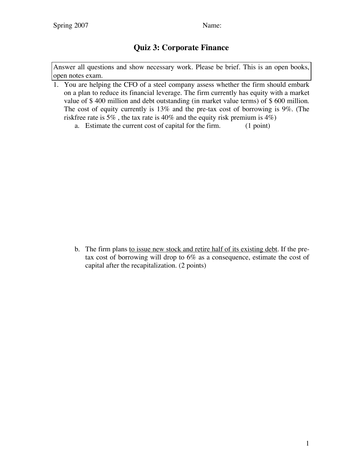## **Quiz 3: Corporate Finance**

Answer all questions and show necessary work. Please be brief. This is an open books, open notes exam.

- 1. You are helping the CFO of a steel company assess whether the firm should embark on a plan to reduce its financial leverage. The firm currently has equity with a market value of \$ 400 million and debt outstanding (in market value terms) of \$ 600 million. The cost of equity currently is 13% and the pre-tax cost of borrowing is 9%. (The riskfree rate is 5% , the tax rate is 40% and the equity risk premium is 4%)
	- a. Estimate the current cost of capital for the firm. (1 point)

b. The firm plans to issue new stock and retire half of its existing debt. If the pretax cost of borrowing will drop to 6% as a consequence, estimate the cost of capital after the recapitalization. (2 points)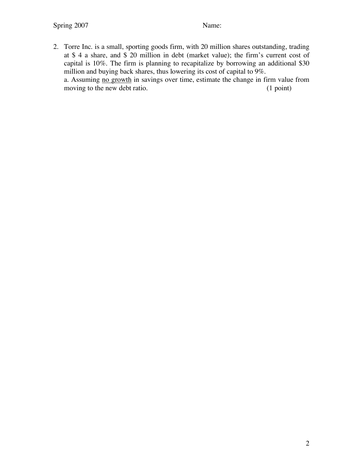moving to the new debt ratio.

2. Torre Inc. is a small, sporting goods firm, with 20 million shares outstanding, trading at \$ 4 a share, and \$ 20 million in debt (market value); the firm's current cost of capital is 10%. The firm is planning to recapitalize by borrowing an additional \$30 million and buying back shares, thus lowering its cost of capital to 9%. a. Assuming <u>no growth</u> in savings over time, estimate the change in firm value from moving to the new debt ratio.  $(1 \text{ point})$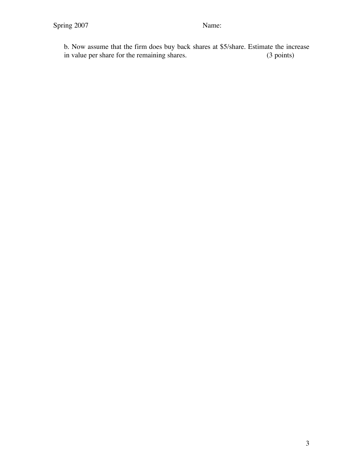b. Now assume that the firm does buy back shares at \$5/share. Estimate the increase in value per share for the remaining shares.